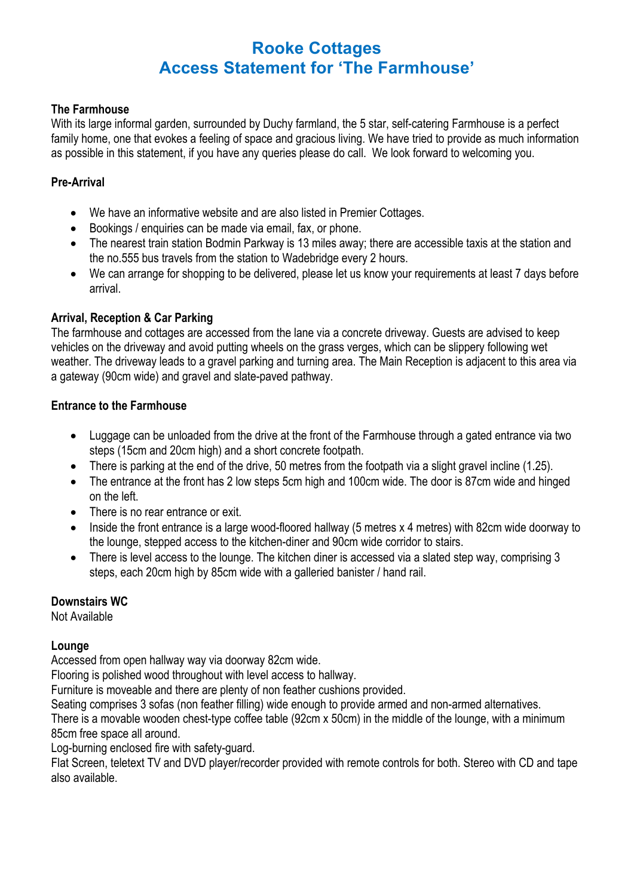## **The Farmhouse**

With its large informal garden, surrounded by Duchy farmland, the 5 star, self-catering Farmhouse is a perfect family home, one that evokes a feeling of space and gracious living. We have tried to provide as much information as possible in this statement, if you have any queries please do call. We look forward to welcoming you.

# **Pre-Arrival**

- We have an informative website and are also listed in Premier Cottages.
- Bookings / enquiries can be made via email, fax, or phone.
- The nearest train station Bodmin Parkway is 13 miles away; there are accessible taxis at the station and the no.555 bus travels from the station to Wadebridge every 2 hours.
- We can arrange for shopping to be delivered, please let us know your requirements at least 7 days before arrival.

## **Arrival, Reception & Car Parking**

The farmhouse and cottages are accessed from the lane via a concrete driveway. Guests are advised to keep vehicles on the driveway and avoid putting wheels on the grass verges, which can be slippery following wet weather. The driveway leads to a gravel parking and turning area. The Main Reception is adjacent to this area via a gateway (90cm wide) and gravel and slate-paved pathway.

## **Entrance to the Farmhouse**

- Luggage can be unloaded from the drive at the front of the Farmhouse through a gated entrance via two steps (15cm and 20cm high) and a short concrete footpath.
- There is parking at the end of the drive, 50 metres from the footpath via a slight gravel incline (1.25).
- The entrance at the front has 2 low steps 5cm high and 100cm wide. The door is 87cm wide and hinged on the left.
- There is no rear entrance or exit.
- Inside the front entrance is a large wood-floored hallway (5 metres x 4 metres) with 82cm wide doorway to the lounge, stepped access to the kitchen-diner and 90cm wide corridor to stairs.
- There is level access to the lounge. The kitchen diner is accessed via a slated step way, comprising 3 steps, each 20cm high by 85cm wide with a galleried banister / hand rail.

## **Downstairs WC**

Not Available

## **Lounge**

Accessed from open hallway way via doorway 82cm wide.

Flooring is polished wood throughout with level access to hallway.

Furniture is moveable and there are plenty of non feather cushions provided.

Seating comprises 3 sofas (non feather filling) wide enough to provide armed and non-armed alternatives.

There is a movable wooden chest-type coffee table (92cm x 50cm) in the middle of the lounge, with a minimum 85cm free space all around.

Log-burning enclosed fire with safety-guard.

Flat Screen, teletext TV and DVD player/recorder provided with remote controls for both. Stereo with CD and tape also available.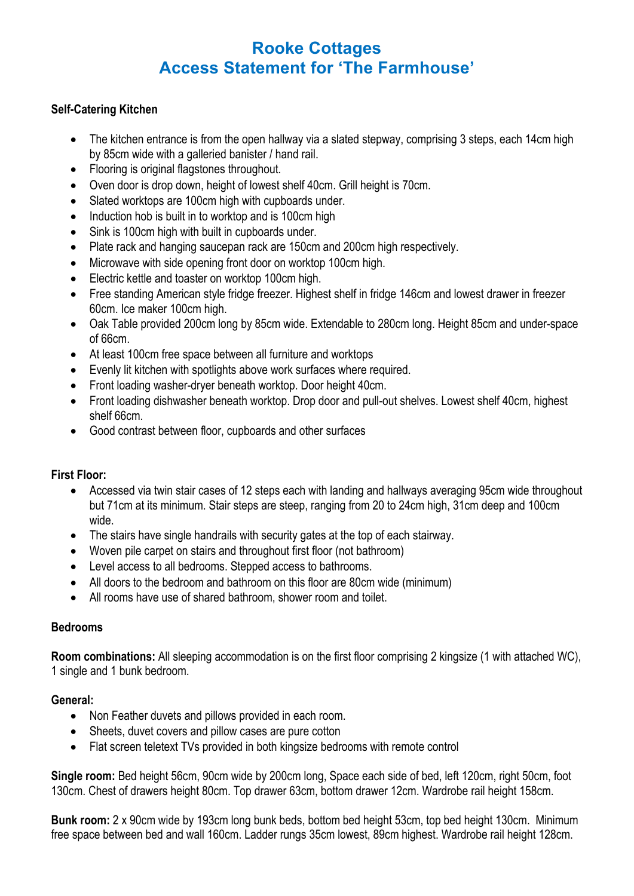## **Self-Catering Kitchen**

- The kitchen entrance is from the open hallway via a slated stepway, comprising 3 steps, each 14cm high by 85cm wide with a galleried banister / hand rail.
- Flooring is original flagstones throughout.
- Oven door is drop down, height of lowest shelf 40cm. Grill height is 70cm.
- Slated worktops are 100cm high with cupboards under.
- Induction hob is built in to worktop and is 100cm high
- Sink is 100cm high with built in cupboards under.
- Plate rack and hanging saucepan rack are 150cm and 200cm high respectively.
- Microwave with side opening front door on worktop 100cm high.
- Electric kettle and toaster on worktop 100cm high.
- Free standing American style fridge freezer. Highest shelf in fridge 146cm and lowest drawer in freezer 60cm. Ice maker 100cm high.
- Oak Table provided 200cm long by 85cm wide. Extendable to 280cm long. Height 85cm and under-space of 66cm.
- At least 100cm free space between all furniture and worktops
- Evenly lit kitchen with spotlights above work surfaces where required.
- Front loading washer-dryer beneath worktop. Door height 40cm.
- Front loading dishwasher beneath worktop. Drop door and pull-out shelves. Lowest shelf 40cm, highest shelf 66cm.
- Good contrast between floor, cupboards and other surfaces

## **First Floor:**

- Accessed via twin stair cases of 12 steps each with landing and hallways averaging 95cm wide throughout but 71cm at its minimum. Stair steps are steep, ranging from 20 to 24cm high, 31cm deep and 100cm wide.
- The stairs have single handrails with security gates at the top of each stairway.
- Woven pile carpet on stairs and throughout first floor (not bathroom)
- Level access to all bedrooms. Stepped access to bathrooms.
- All doors to the bedroom and bathroom on this floor are 80cm wide (minimum)
- All rooms have use of shared bathroom, shower room and toilet.

## **Bedrooms**

**Room combinations:** All sleeping accommodation is on the first floor comprising 2 kingsize (1 with attached WC), 1 single and 1 bunk bedroom.

## **General:**

- Non Feather duvets and pillows provided in each room.
- Sheets, duvet covers and pillow cases are pure cotton
- Flat screen teletext TVs provided in both kingsize bedrooms with remote control

**Single room:** Bed height 56cm, 90cm wide by 200cm long, Space each side of bed, left 120cm, right 50cm, foot 130cm. Chest of drawers height 80cm. Top drawer 63cm, bottom drawer 12cm. Wardrobe rail height 158cm.

**Bunk room:** 2 x 90cm wide by 193cm long bunk beds, bottom bed height 53cm, top bed height 130cm. Minimum free space between bed and wall 160cm. Ladder rungs 35cm lowest, 89cm highest. Wardrobe rail height 128cm.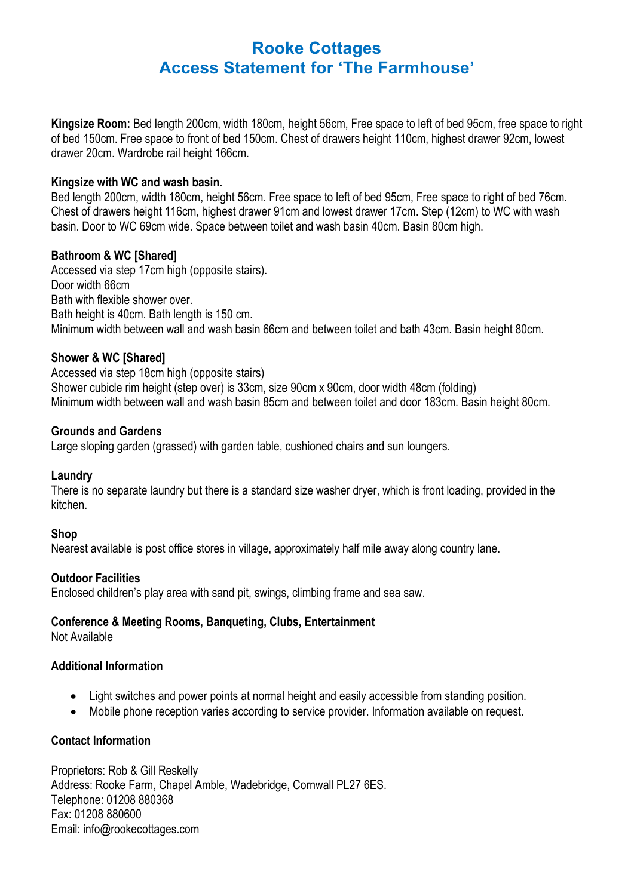**Kingsize Room:** Bed length 200cm, width 180cm, height 56cm, Free space to left of bed 95cm, free space to right of bed 150cm. Free space to front of bed 150cm. Chest of drawers height 110cm, highest drawer 92cm, lowest drawer 20cm. Wardrobe rail height 166cm.

#### **Kingsize with WC and wash basin.**

Bed length 200cm, width 180cm, height 56cm. Free space to left of bed 95cm, Free space to right of bed 76cm. Chest of drawers height 116cm, highest drawer 91cm and lowest drawer 17cm. Step (12cm) to WC with wash basin. Door to WC 69cm wide. Space between toilet and wash basin 40cm. Basin 80cm high.

## **Bathroom & WC [Shared]**

Accessed via step 17cm high (opposite stairs). Door width 66cm Bath with flexible shower over. Bath height is 40cm. Bath length is 150 cm. Minimum width between wall and wash basin 66cm and between toilet and bath 43cm. Basin height 80cm.

## **Shower & WC [Shared]**

Accessed via step 18cm high (opposite stairs) Shower cubicle rim height (step over) is 33cm, size 90cm x 90cm, door width 48cm (folding) Minimum width between wall and wash basin 85cm and between toilet and door 183cm. Basin height 80cm.

## **Grounds and Gardens**

Large sloping garden (grassed) with garden table, cushioned chairs and sun loungers.

## **Laundry**

There is no separate laundry but there is a standard size washer dryer, which is front loading, provided in the kitchen.

## **Shop**

Nearest available is post office stores in village, approximately half mile away along country lane.

## **Outdoor Facilities**

Enclosed children's play area with sand pit, swings, climbing frame and sea saw.

## **Conference & Meeting Rooms, Banqueting, Clubs, Entertainment**

Not Available

## **Additional Information**

- Light switches and power points at normal height and easily accessible from standing position.
- Mobile phone reception varies according to service provider. Information available on request.

## **Contact Information**

Proprietors: Rob & Gill Reskelly Address: Rooke Farm, Chapel Amble, Wadebridge, Cornwall PL27 6ES. Telephone: 01208 880368 Fax: 01208 880600 Email: info@rookecottages.com